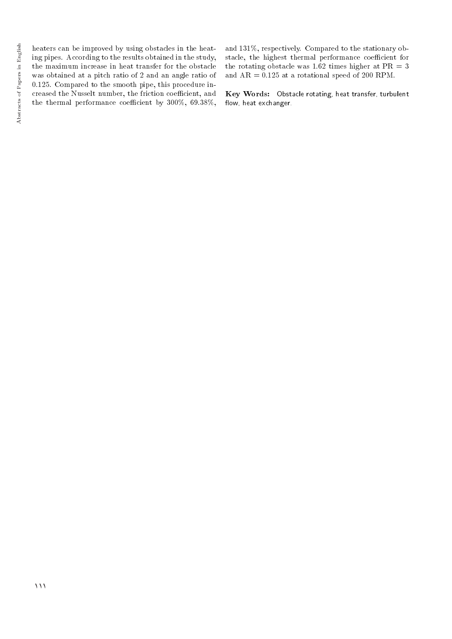heaters can be improved by using obstacles in the heating pipes. According to the results obtained in the study, the maximum increase in heat transfer for the obstacle was obtained at a pitch ratio of 2 and an angle ratio of 0.125. Compared to the smooth pipe, this procedure increased the Nusselt number, the friction coefficient, and the thermal performance coefficient by  $300\%$ ,  $69.38\%$ , and 131%, respectively. Compared to the stationary obstacle, the highest thermal performance coefficient for the rotating obstacle was 1.62 times higher at  $PR = 3$ and  $AR = 0.125$  at a rotational speed of 200 RPM.

Key Words: Obstacle rotating, heat transfer, turbulent flow, heat exchanger.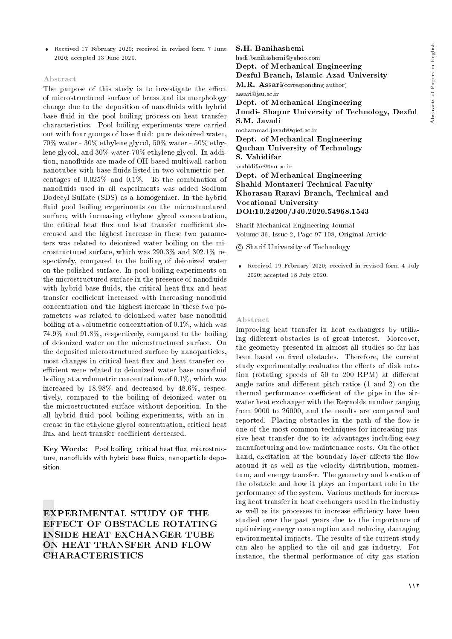Received 17 February 2020; received in revised form 7 June 2020; accepted 13 June 2020.

#### Abstract

The purpose of this study is to investigate the effect of microstructured surface of brass and its morphology change due to the deposition of nanofluids with hybrid base fluid in the pool boiling process on heat transfer characteristics. Pool boiling experiments were carried out with four groups of base fluid: pure deionized water, 70% water - 30% ethylene glycol, 50% water - 50% ethylene glycol, and 30% water-70% ethylene glycol. In addition, nanofluids are made of OH-based multiwall carbon nanotubes with base fluids listed in two volumetric percentages of 0.025% and 0.1%. To the combination of nano
uids used in all experiments was added Sodium Dodecyl Sulfate (SDS) as a homogenizer. In the hybrid fluid pool boiling experiments on the microstructured surface, with increasing ethylene glycol concentration, the critical heat flux and heat transfer coefficient decreased and the highest increase in these two parameters was related to deionized water boiling on the microstructured surface, which was 290.3% and 302.1% respectively, compared to the boiling of deionized water on the polished surface. In pool boiling experiments on the microstructured surface in the presence of nanofluids with hybrid base fluids, the critical heat flux and heat transfer coefficient increased with increasing nanofluid concentration and the highest increase in these two parameters was related to deionized water base nanofluid boiling at a volumetric concentration of 0.1%, which was 74.9% and 91.8%, respectively, compared to the boiling of deionized water on the microstructured surface. On the deposited microstructured surface by nanoparticles, most changes in critical heat flux and heat transfer coefficient were related to deionized water base nanofluid boiling at a volumetric concentration of 0.1%, which was increased by 18.98% and decreased by 48.6%, respectively, compared to the boiling of deionized water on the microstructured surface without deposition. In the all hybrid fluid pool boiling experiments, with an increase in the ethylene glycol concentration, critical heat flux and heat transfer coefficient decreased.

 $Key Words:$  Pool boiling, critical heat flux, microstructure, nanofluids with hybrid base fluids, nanoparticle deposition.

EXPERIMENTAL STUDY OF THE EFFECT OF OBSTACLE ROTATING INSIDE HEAT EXCHANGER TUBE ON HEAT TRANSFER AND FLOW CHARACTERISTICS

S.H. Banihashemi hadi banihashemi@yahoo.com Dept. of Mechanical Engineering Dezful Branch, Islamic Azad University M.R. Assari(corresponding author) assari@jsu.ac.ir Dept. of Mechanical Engineering Jundi- Shapur University of Technology, Dezful S.M. Javadi mohammad.javadi@qiet.ac.ir Dept. of Mechanical Engineering Quchan University of Technology S. Vahidifar svahidifar@tvu.ac.ir Dept. of Mechanical Engineering Shahid Montazeri Technical Faculty

Khorasan Razavi Branch, Technical and Vocational University DOI:10.24200/J40.2020.54968.1543

Sharif Mechanical Engineering Journal Volume 36, Issue 2, Page 97-108, Original Article

- c Sharif University of Technology
- Received 19 February 2020; received in revised form 4 July 2020; accepted 18 July 2020.

#### Abstract

Improving heat transfer in heat exchangers by utilizing different obstacles is of great interest. Moreover, the geometry presented in almost all studies so far has been based on fixed obstacles. Therefore, the current study experimentally evaluates the effects of disk rotation (rotating speeds of  $50$  to  $200$  RPM) at different angle ratios and different pitch ratios  $(1 \text{ and } 2)$  on the thermal performance coefficient of the pipe in the airwater heat exchanger with the Reynolds number ranging from 9000 to 26000, and the results are compared and reported. Placing obstacles in the path of the flow is one of the most common techniques for increasing passive heat transfer due to its advantages including easy manufacturing and low maintenance costs. On the other hand, excitation at the boundary layer affects the flow around it as well as the velocity distribution, momentum, and energy transfer. The geometry and location of the obstacle and how it plays an important role in the performance of the system. Various methods for increasing heat transfer in heat exchangers used in the industry as well as its processes to increase efficiency have been studied over the past years due to the importance of optimizing energy consumption and reducing damaging environmental impacts. The results of the current study can also be applied to the oil and gas industry. For instance, the thermal performance of city gas station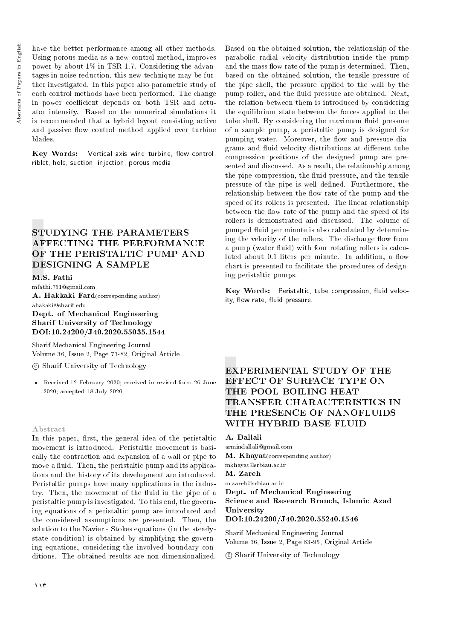Abstracts of Papers in English Abstracts of Papers in English have the better performance among all other methods. Using porous media as a new control method, improves power by about 1% in TSR 1.7. Considering the advantages in noise reduction, this new technique may be further investigated. In this paper also parametric study of each control methods have been performed. The change in power coefficient depends on both TSR and actuator intensity. Based on the numerical simulations it is recommended that a hybrid layout consisting active and passive flow control method applied over turbine blades.

Key Words: Vertical axis wind turbine, flow control. riblet, hole, suction, injection, porous media.

## STUDYING THE PARAMETERS AFFECTING THE PERFORMANCE OF THE PERISTALTIC PUMP AND DESIGNING A SAMPLE

#### M.S. Fathi

mfathi.751@gmail.com A. Hakkaki Fard(corresponding author)

#### ahakaki@sharif.edu Dept. of Mechanical Engineering Sharif University of Technology DOI:10.24200/J40.2020.55035.1544

Sharif Mechanical Engineering Journal Volume 36, Issue 2, Page 73-82, Original Article

c Sharif University of Technology

 Received 12 February 2020; received in revised form 26 June 2020; accepted 18 July 2020.

#### Abstract

In this paper, first, the general idea of the peristaltic movement is introduced. Peristaltic movement is basically the contraction and expansion of a wall or pipe to move a fluid. Then, the peristaltic pump and its applications and the history of its development are introduced. Peristaltic pumps have many applications in the industry. Then, the movement of the fluid in the pipe of a peristaltic pump is investigated. To this end, the governing equations of a peristaltic pump are introduced and the considered assumptions are presented. Then, the solution to the Navier - Stokes equations (in the steadystate condition) is obtained by simplifying the governing equations, considering the involved boundary conditions. The obtained results are non-dimensionalized.

Based on the obtained solution, the relationship of the parabolic radial velocity distribution inside the pump and the mass flow rate of the pump is determined. Then, based on the obtained solution, the tensile pressure of the pipe shell, the pressure applied to the wall by the pump roller, and the fluid pressure are obtained. Next, the relation between them is introduced by considering the equilibrium state between the forces applied to the tube shell. By considering the maximum fluid pressure of a sample pump, a peristaltic pump is designed for pumping water. Moreover, the flow and pressure diagrams and fluid velocity distributions at different tube compression positions of the designed pump are presented and discussed. As a result, the relationship among the pipe compression, the fluid pressure, and the tensile pressure of the pipe is well defined. Furthermore, the relationship between the flow rate of the pump and the speed of its rollers is presented. The linear relationship between the flow rate of the pump and the speed of its rollers is demonstrated and discussed. The volume of pumped fluid per minute is also calculated by determining the velocity of the rollers. The discharge flow from a pump (water fluid) with four rotating rollers is calculated about 0.1 liters per minute. In addition, a flow chart is presented to facilitate the procedures of designing peristaltic pumps.

Key Words: Peristaltic, tube compression, fluid velocity, flow rate, fluid pressure.

## EXPERIMENTAL STUDY OF THE EFFECT OF SURFACE TYPE ON THE POOL BOILING HEAT TRANSFER CHARACTERISTICS IN THE PRESENCE OF NANOFLUIDS WITH HYBRID BASE FLUID

#### A. Dallali

armindallali@gmail.com **M. Khayat**(corresponding author) mkhayat@srbiau.ac.ir M. Zareh m.zareh@srbiau.ac.ir Dept. of Mechanical Engineering

Science and Research Branch, Islamic Azad University DOI:10.24200/J40.2020.55240.1546

Sharif Mechanical Engineering Journal Volume 36, Issue 2, Page 83-95, Original Article

c Sharif University of Technology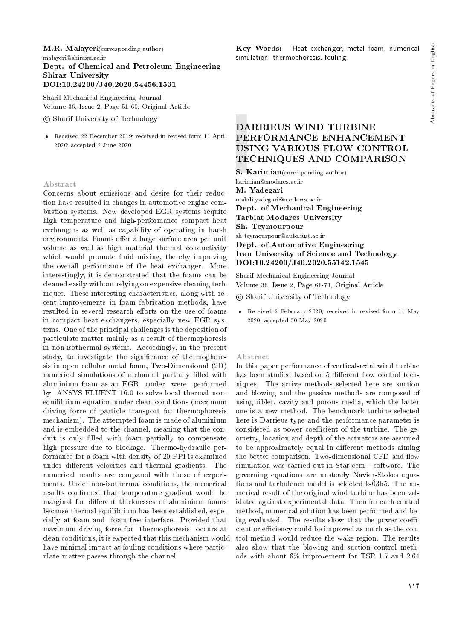#### M.R. Malayeri(corresponding author)

malayeri@shirazu.ac.ir

Dept. of Chemical and Petroleum Engineering Shiraz University DOI:10.24200/J40.2020.54456.1531

Sharif Mechanical Engineering Journal Volume 36, Issue 2, Page 51-60, Original Article

c Sharif University of Technology

 Received 22 December 2019; received in revised form 11 April 2020; accepted 2 June 2020.

#### Abstract

Concerns about emissions and desire for their reduction have resulted in changes in automotive engine combustion systems. New developed EGR systems require high temperature and high-performance compact heat exchangers as well as capability of operating in harsh environments. Foams offer a large surface area per unit volume as well as high material thermal conductivity which would promote fluid mixing, thereby improving the overall performance of the heat exchanger. More interestingly, it is demonstrated that the foams can be cleaned easily without relying on expensive cleaning techniques. These interesting characteristics, along with recent improvements in foam fabrication methods, have resulted in several research efforts on the use of foams in compact heat exchangers, especially new EGR systems. One of the principal challenges is the deposition of particulate matter mainly as a result of thermophoresis in non-isothermal systems. Accordingly, in the present study, to investigate the signicance of thermophoresis in open cellular metal foam, Two-Dimensional (2D) numerical simulations of a channel partially filled with aluminium foam as an EGR cooler were performed by ANSYS FLUENT 16.0 to solve local thermal nonequilibrium equation under clean conditions (maximum driving force of particle transport for thermophoresis mechanism). The attempted foam is made of aluminium and is embedded to the channel, meaning that the conduit is only filled with foam partially to compensate high pressure due to blockage. Thermo-hydraulic performance for a foam with density of 20 PPI is examined under different velocities and thermal gradients. The numerical results are compared with those of experiments. Under non-isothermal conditions, the numerical results confirmed that temperature gradient would be marginal for different thicknesses of aluminium foams because thermal equilibrium has been established, especially at foam and foam-free interface. Provided that maximum driving force for thermophoresis occurs at clean conditions, it is expected that this mechanism would have minimal impact at fouling conditions where particulate matter passes through the channel.

## DARRIEUS WIND TURBINE PERFORMANCE ENHANCEMENT USING VARIOUS FLOW CONTROL

TECHNIQUES AND COMPARISON

Key Words: Heat exchanger, metal foam, numerical

S. Karimian(corresponding author) karimian@modares.ac.ir M. Yadegari

simulation, thermophoresis, fouling.

mahdi.yadegari@modares.ac.ir

Dept. of Mechanical Engineering Tarbiat Modares University

Sh. Teymourpour

sh teymourpour@auto.iust.ac.ir

Dept. of Automotive Engineering Iran University of Science and Technology DOI:10.24200/J40.2020.55142.1545

Sharif Mechanical Engineering Journal Volume 36, Issue 2, Page 61-71, Original Article

c Sharif University of Technology

 Received 2 February 2020; received in revised form 11 May 2020; accepted 30 May 2020.

#### Abstract

In this paper performance of vertical-axial wind turbine has been studied based on 5 different flow control techniques. The active methods selected here are suction and blowing and the passive methods are composed of using riblet, cavity and porous media, which the latter one is a new method. The benchmark turbine selected here is Darrieus type and the performance parameter is considered as power coefficient of the turbine. The geometry, location and depth of the actuators are assumed to be approximately equal in different methods aiming the better comparison. Two-dimensional CFD and flow simulation was carried out in Star-ccm+ software. The governing equations are unsteady Navier-Stokes equations and turbulence model is selected k-03b5. The numerical result of the original wind turbine has been validated against experimental data. Then for each control method, numerical solution has been performed and being evaluated. The results show that the power coefficient or efficiency could be improved as much as the control method would reduce the wake region. The results also show that the blowing and suction control methods with about 6% improvement for TSR 1.7 and 2.64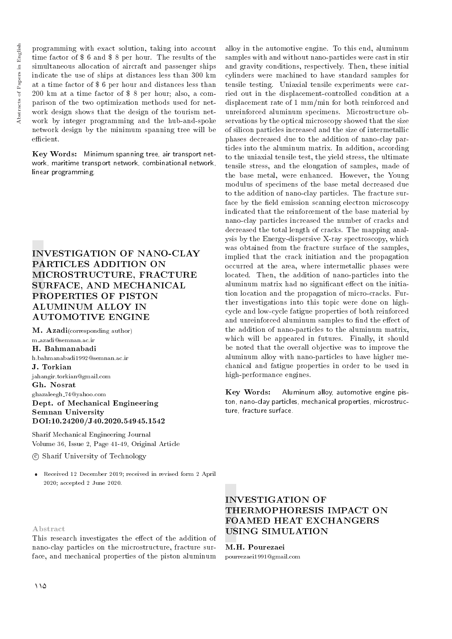programming with exact solution, taking into account time factor of \$ 6 and \$ 8 per hour. The results of the simultaneous allocation of aircraft and passenger ships indicate the use of ships at distances less than 300 km at a time factor of \$ 6 per hour and distances less than 200 km at a time factor of \$ 8 per hour; also, a comparison of the two optimization methods used for network design shows that the design of the tourism network by integer programming and the hub-and-spoke network design by the minimum spanning tree will be efficient

Key Words: Minimum spanning tree, air transport network, maritime transport network, combinational network, linear programming.

## INVESTIGATION OF NANO-CLAY PARTICLES ADDITION ON MICROSTRUCTURE, FRACTURE SURFACE, AND MECHANICAL PROPERTIES OF PISTON ALUMINUM ALLOY IN AUTOMOTIVE ENGINE

M. Azadi(corresponding author) m azadi@semnan.ac.ir

H. Bahmanabadi h.bahmanabadi1992@semnan.ac.ir J. Torkian jahangir.torkian@gmail.com Gh. Nosrat ghazaleegh 74@yahoo.com Dept. of Mechanical Engineering Semnan University DOI:10.24200/J40.2020.54945.1542

Sharif Mechanical Engineering Journal Volume 36, Issue 2, Page 41-49, Original Article

#### c Sharif University of Technology

 Received 12 December 2019; received in revised form 2 April 2020; accepted 2 June 2020.

Abstract

This research investigates the effect of the addition of nano-clay particles on the microstructure, fracture surface, and mechanical properties of the piston aluminum

alloy in the automotive engine. To this end, aluminum samples with and without nano-particles were cast in stir and gravity conditions, respectively. Then, these initial cylinders were machined to have standard samples for tensile testing. Uniaxial tensile experiments were carried out in the displacement-controlled condition at a displacement rate of 1 mm/min for both reinforced and unreinforced aluminum specimens. Microstructure observations by the optical microscopy showed that the size of silicon particles increased and the size of intermetallic phases decreased due to the addition of nano-clay particles into the aluminum matrix. In addition, according to the uniaxial tensile test, the yield stress, the ultimate tensile stress, and the elongation of samples, made of the base metal, were enhanced. However, the Young modulus of specimens of the base metal decreased due to the addition of nano-clay particles. The fracture surface by the field emission scanning electron microscopy indicated that the reinforcement of the base material by nano-clay particles increased the number of cracks and decreased the total length of cracks. The mapping analysis by the Energy-dispersive X-ray spectroscopy, which was obtained from the fracture surface of the samples, implied that the crack initiation and the propagation occurred at the area, where intermetallic phases were located. Then, the addition of nano-particles into the aluminum matrix had no significant effect on the initiation location and the propagation of micro-cracks. Further investigations into this topic were done on highcycle and low-cycle fatigue properties of both reinforced and unreinforced aluminum samples to find the effect of the addition of nano-particles to the aluminum matrix, which will be appeared in futures. Finally, it should be noted that the overall objective was to improve the aluminum alloy with nano-particles to have higher mechanical and fatigue properties in order to be used in high-performance engines. Key Words: Aluminum alloy, automotive engine piston, nano-clay particles, mechanical properties, microstruc-

ture, fracture surface.

## INVESTIGATION OF THERMOPHORESIS IMPACT ON FOAMED HEAT EXCHANGERS USING SIMULATION

M.H. Pourezaei pourrezaei1991@gmail.com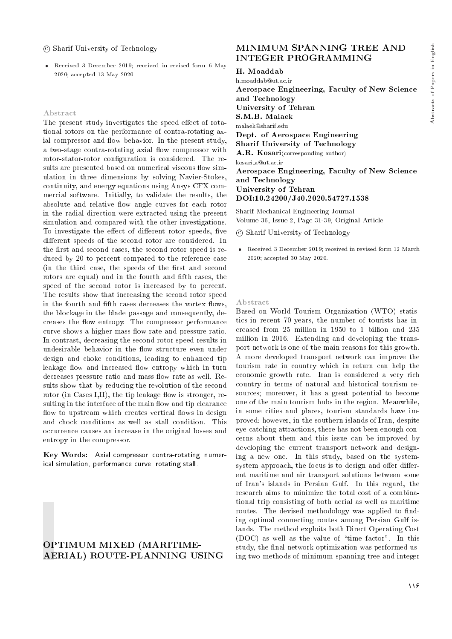#### c Sharif University of Technology

 Received 3 December 2019; received in revised form 6 May 2020; accepted 13 May 2020.

#### Abstract

The present study investigates the speed effect of rotational rotors on the performance of contra-rotating axial compressor and flow behavior. In the present study, a two-stage contra-rotating axial flow compressor with rotor-stator-rotor configuration is considered. The results are presented based on numerical viscous flow simulation in three dimensions by solving Navier-Stokes, continuity, and energy equations using Ansys CFX commercial software. Initially, to validate the results, the absolute and relative flow angle curves for each rotor in the radial direction were extracted using the present simulation and compared with the other investigations. To investigate the effect of different rotor speeds, five different speeds of the second rotor are considered. In the first and second cases, the second rotor speed is reduced by 20 to percent compared to the reference case (in the third case, the speeds of the first and second rotors are equal) and in the fourth and fifth cases, the speed of the second rotor is increased by to percent. The results show that increasing the second rotor speed in the fourth and fifth cases decreases the vortex flows, the blockage in the blade passage and consequently, decreases the flow entropy. The compressor performance curve shows a higher mass flow rate and pressure ratio. In contrast, decreasing the second rotor speed results in undesirable behavior in the flow structure even under design and choke conditions, leading to enhanced tip leakage flow and increased flow entropy which in turn decreases pressure ratio and mass flow rate as well. Results show that by reducing the revolution of the second rotor (in Cases I,II), the tip leakage flow is stronger, resulting in the interface of the main flow and tip clearance flow to upstream which creates vertical flows in design and chock conditions as well as stall condition. This occurrence causes an increase in the original losses and entropy in the compressor.

Key Words: Axial compressor, contra-rotating, numerical simulation, performance curve, rotating stall.

### OPTIMUM MIXED (MARITIME-AERIAL) ROUTE-PLANNING USING

## MINIMUM SPANNING TREE AND INTEGER PROGRAMMING

#### H. Moaddab

h.moaddab@ut.ac.ir Aerospace Engineering, Faculty of New Science and Technology University of Tehran S.M.B. Malaek malaek@sharif.edu Dept. of Aerospace Engineering Sharif University of Technology A.R. Kosari(corresponding author) kosari a@ut.ac.ir Aerospace Engineering, Faculty of New Science and Technology University of Tehran DOI:10.24200/J40.2020.54727.1538

Sharif Mechanical Engineering Journal Volume 36, Issue 2, Page 31-39, Original Article

c Sharif University of Technology

 Received 3 December 2019; received in revised form 12 March 2020; accepted 30 May 2020.

#### Abstract

Based on World Tourism Organization (WTO) statistics in recent 70 years, the number of tourists has increased from 25 million in 1950 to 1 billion and 235 million in 2016. Extending and developing the transport network is one of the main reasons for this growth. A more developed transport network can improve the tourism rate in country which in return can help the economic growth rate. Iran is considered a very rich country in terms of natural and historical tourism resources; moreover, it has a great potential to become one of the main tourism hubs in the region. Meanwhile, in some cities and places, tourism standards have improved; however, in the southern islands of Iran, despite eye-catching attractions, there has not been enough concerns about them and this issue can be improved by developing the current transport network and designing a new one. In this study, based on the systemsystem approach, the focus is to design and offer different maritime and air transport solutions between some of Iran's islands in Persian Gulf. In this regard, the research aims to minimize the total cost of a combinational trip consisting of both aerial as well as maritime routes. The devised methodology was applied to finding optimal connecting routes among Persian Gulf islands. The method exploits both Direct Operating Cost (DOC) as well as the value of \time factor". In this study, the final network optimization was performed using two methods of minimum spanning tree and integer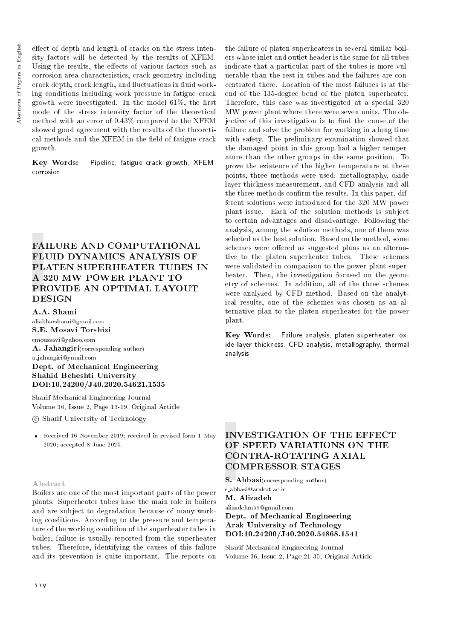effect of depth and length of cracks on the stress intensity factors will be detected by the results of XFEM. Using the results, the effects of various factors such as corrosion area characteristics, crack geometry including crack depth, crack length, and fluctuations in fluid working conditions including work pressure in fatigue crack growth were investigated. In the model  $61\%$ , the first mode of the stress intensity factor of the theoretical method with an error of 0.43% compared to the XFEM showed good agreement with the results of the theoretical methods and the XFEM in the field of fatigue crack growth.

Key Words: Pipeline, fatigue crack growth, XFEM, corrosion.

## FAILURE AND COMPUTATIONAL FLUID DYNAMICS ANALYSIS OF PLATEN SUPERHEATER TUBES IN A 320 MW POWER PLANT TO PROVIDE AN OPTIMAL LAYOUT **DESIGN**

A.A. Shami

aliakbarshami@gmail.com S.E. Mosavi Torshizi emoussavi@yahoo.com A. Jahangiri(corresponding author) a jahangiri@ymail.com Dept. of Mechanical Engineering Shahid Beheshti University DOI:10.24200/J40.2020.54621.1535

Sharif Mechanical Engineering Journal Volume 36, Issue 2, Page 13-19, Original Article

c Sharif University of Technology

 Received 16 November 2019; received in revised form 1 May 2020; accepted 8 June 2020.

#### Abstract

Boilers are one of the most important parts of the power plants. Superheater tubes have the main role in boilers and are subject to degradation because of many working conditions. According to the pressure and temperature of the working condition of the superheater tubes in boiler, failure is usually reported from the superheater tubes. Therefore, identifying the causes of this failure and its prevention is quite important. The reports on

the failure of platen superheaters in several similar boilers whose inlet and outlet header is the same for all tubes indicate that a particular part of the tubes is more vulnerable than the rest in tubes and the failures are concentrated there. Location of the most failures is at the end of the 135-degree bend of the platen superheater. Therefore, this case was investigated at a special 320 MW power plant where there were seven units. The objective of this investigation is to find the cause of the failure and solve the problem for working in a long time with safety. The preliminary examination showed that the damaged point in this group had a higher temperature than the other groups in the same position. To prove the existence of the higher temperature at these points, three methods were used: metallography, oxide layer thickness measurement, and CFD analysis and all the three methods confirm the results. In this paper, different solutions were introduced for the 320 MW power plant issue. Each of the solution methods is subject to certain advantages and disadvantage. Following the analysis, among the solution methods, one of them was selected as the best solution. Based on the method, some schemes were offered as suggested plans as an alternative to the platen superheater tubes. These schemes were validated in comparison to the power plant superheater. Then, the investigation focused on the geometry of schemes. In addition, all of the three schemes were analyzed by CFD method. Based on the analytical results, one of the schemes was chosen as an alternative plan to the platen superheater for the power plant.

Key Words: Failure analysis, platen superheater, oxide layer thickness, CFD analysis, metallography, thermal analysis,

## INVESTIGATION OF THE EFFECT OF SPEED VARIATIONS ON THE CONTRA-ROTATING AXIAL COMPRESSOR STAGES

S. Abbasi(corresponding author)

s abbasi@arakut.ac.ir M. Alizadeh

alizadehm59@gmail.com

#### Dept. of Mechanical Engineering Arak University of Technology DOI:10.24200/J40.2020.54868.1541

Sharif Mechanical Engineering Journal Volume 36, Issue 2, Page 21-30, Original Article